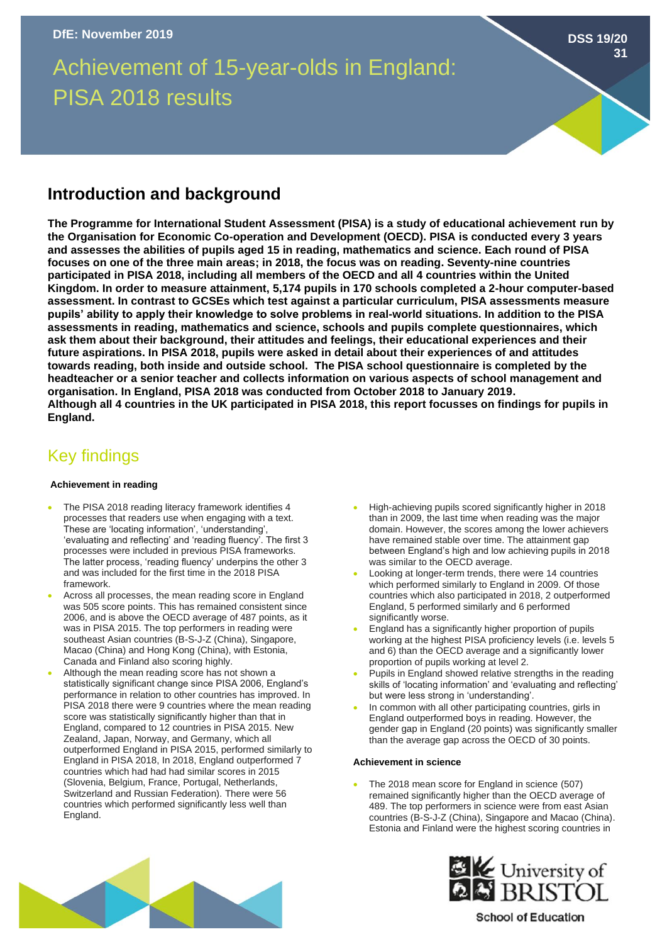Achievement of 15-year-olds in England: PISA 2018 results

## **Introduction and background**

**The Programme for International Student Assessment (PISA) is a study of educational achievement run by the Organisation for Economic Co-operation and Development (OECD). PISA is conducted every 3 years and assesses the abilities of pupils aged 15 in reading, mathematics and science. Each round of PISA focuses on one of the three main areas; in 2018, the focus was on reading. Seventy-nine countries participated in PISA 2018, including all members of the OECD and all 4 countries within the United Kingdom. In order to measure attainment, 5,174 pupils in 170 schools completed a 2-hour computer-based assessment. In contrast to GCSEs which test against a particular curriculum, PISA assessments measure pupils' ability to apply their knowledge to solve problems in real-world situations. In addition to the PISA assessments in reading, mathematics and science, schools and pupils complete questionnaires, which ask them about their background, their attitudes and feelings, their educational experiences and their future aspirations. In PISA 2018, pupils were asked in detail about their experiences of and attitudes towards reading, both inside and outside school. The PISA school questionnaire is completed by the headteacher or a senior teacher and collects information on various aspects of school management and organisation. In England, PISA 2018 was conducted from October 2018 to January 2019. Although all 4 countries in the UK participated in PISA 2018, this report focusses on findings for pupils in England.** 

# Key findings

### **Achievement in reading**

- The PISA 2018 reading literacy framework identifies 4 processes that readers use when engaging with a text. These are 'locating information', 'understanding', 'evaluating and reflecting' and 'reading fluency'. The first 3 processes were included in previous PISA frameworks. The latter process, 'reading fluency' underpins the other 3 and was included for the first time in the 2018 PISA framework.
- Across all processes, the mean reading score in England was 505 score points. This has remained consistent since 2006, and is above the OECD average of 487 points, as it was in PISA 2015. The top performers in reading were southeast Asian countries (B-S-J-Z (China), Singapore, Macao (China) and Hong Kong (China), with Estonia, Canada and Finland also scoring highly.
- Although the mean reading score has not shown a statistically significant change since PISA 2006, England's performance in relation to other countries has improved. In PISA 2018 there were 9 countries where the mean reading score was statistically significantly higher than that in England, compared to 12 countries in PISA 2015. New Zealand, Japan, Norway, and Germany, which all outperformed England in PISA 2015, performed similarly to England in PISA 2018, In 2018, England outperformed 7 countries which had had had similar scores in 2015 (Slovenia, Belgium, France, Portugal, Netherlands, Switzerland and Russian Federation). There were 56 countries which performed significantly less well than England.
- High-achieving pupils scored significantly higher in 2018 than in 2009, the last time when reading was the major domain. However, the scores among the lower achievers have remained stable over time. The attainment gap between England's high and low achieving pupils in 2018 was similar to the OECD average.
- Looking at longer-term trends, there were 14 countries which performed similarly to England in 2009. Of those countries which also participated in 2018, 2 outperformed England, 5 performed similarly and 6 performed significantly worse.
- England has a significantly higher proportion of pupils working at the highest PISA proficiency levels (i.e. levels 5 and 6) than the OECD average and a significantly lower proportion of pupils working at level 2.
- Pupils in England showed relative strengths in the reading skills of 'locating information' and 'evaluating and reflecting' but were less strong in 'understanding'.
- In common with all other participating countries, girls in England outperformed boys in reading. However, the gender gap in England (20 points) was significantly smaller than the average gap across the OECD of 30 points.

#### **Achievement in science**

The 2018 mean score for England in science (507) remained significantly higher than the OECD average of 489. The top performers in science were from east Asian countries (B-S-J-Z (China), Singapore and Macao (China). Estonia and Finland were the highest scoring countries in





**School of Education** 

**DSS 19/20**

**31**